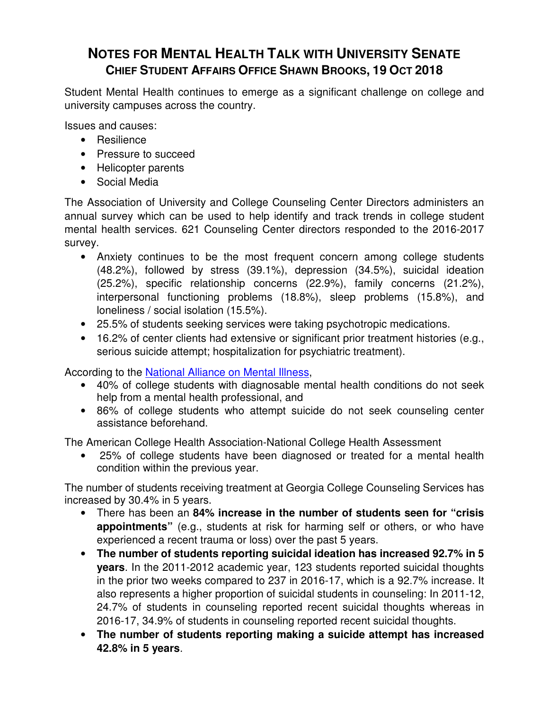# **NOTES FOR MENTAL HEALTH TALK WITH UNIVERSITY SENATE CHIEF STUDENT AFFAIRS OFFICE SHAWN BROOKS, 19 OCT 2018**

Student Mental Health continues to emerge as a significant challenge on college and university campuses across the country.

Issues and causes:

- Resilience
- Pressure to succeed
- Helicopter parents
- Social Media

The Association of University and College Counseling Center Directors administers an annual survey which can be used to help identify and track trends in college student mental health services. 621 Counseling Center directors responded to the 2016-2017 survey.

- Anxiety continues to be the most frequent concern among college students (48.2%), followed by stress (39.1%), depression (34.5%), suicidal ideation (25.2%), specific relationship concerns (22.9%), family concerns (21.2%), interpersonal functioning problems (18.8%), sleep problems (15.8%), and loneliness / social isolation (15.5%).
- 25.5% of students seeking services were taking psychotropic medications.
- 16.2% of center clients had extensive or significant prior treatment histories (e.g., serious suicide attempt; hospitalization for psychiatric treatment).

According to the National Alliance on Mental Illness,

- 40% of college students with diagnosable mental health conditions do not seek help from a mental health professional, and
- 86% of college students who attempt suicide do not seek counseling center assistance beforehand.

The American College Health Association-National College Health Assessment

• 25% of college students have been diagnosed or treated for a mental health condition within the previous year.

The number of students receiving treatment at Georgia College Counseling Services has increased by 30.4% in 5 years.

- There has been an **84% increase in the number of students seen for "crisis appointments"** (e.g., students at risk for harming self or others, or who have experienced a recent trauma or loss) over the past 5 years.
- **The number of students reporting suicidal ideation has increased 92.7% in 5 years**. In the 2011-2012 academic year, 123 students reported suicidal thoughts in the prior two weeks compared to 237 in 2016-17, which is a 92.7% increase. It also represents a higher proportion of suicidal students in counseling: In 2011-12, 24.7% of students in counseling reported recent suicidal thoughts whereas in 2016-17, 34.9% of students in counseling reported recent suicidal thoughts.
- **The number of students reporting making a suicide attempt has increased 42.8% in 5 years**.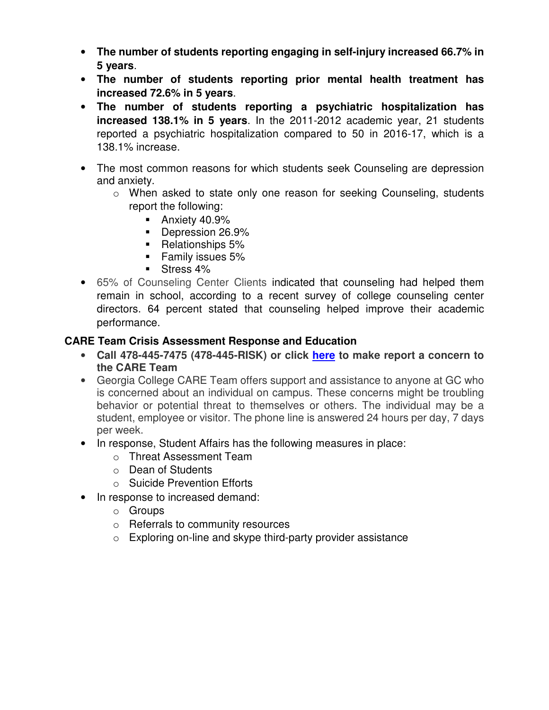- **The number of students reporting engaging in self-injury increased 66.7% in 5 years**.
- **The number of students reporting prior mental health treatment has increased 72.6% in 5 years**.
- **The number of students reporting a psychiatric hospitalization has increased 138.1% in 5 years**. In the 2011-2012 academic year, 21 students reported a psychiatric hospitalization compared to 50 in 2016-17, which is a 138.1% increase.
- The most common reasons for which students seek Counseling are depression and anxiety.
	- o When asked to state only one reason for seeking Counseling, students report the following:
		- **Anxiety 40.9%**
		- Depression 26.9%
		- Relationships 5%
		- **Family issues 5%**
		- Stress 4%
- 65% of Counseling Center Clients indicated that counseling had helped them remain in school, according to a recent survey of college counseling center directors. 64 percent stated that counseling helped improve their academic performance.

#### **CARE Team Crisis Assessment Response and Education**

- **Call 478-445-7475 (478-445-RISK) or click here to make report a concern to the CARE Team**
- Georgia College CARE Team offers support and assistance to anyone at GC who is concerned about an individual on campus. These concerns might be troubling behavior or potential threat to themselves or others. The individual may be a student, employee or visitor. The phone line is answered 24 hours per day, 7 days per week.
- In response, Student Affairs has the following measures in place:
	- o Threat Assessment Team
	- o Dean of Students
	- o Suicide Prevention Efforts
- In response to increased demand:
	- o Groups
	- o Referrals to community resources
	- o Exploring on-line and skype third-party provider assistance